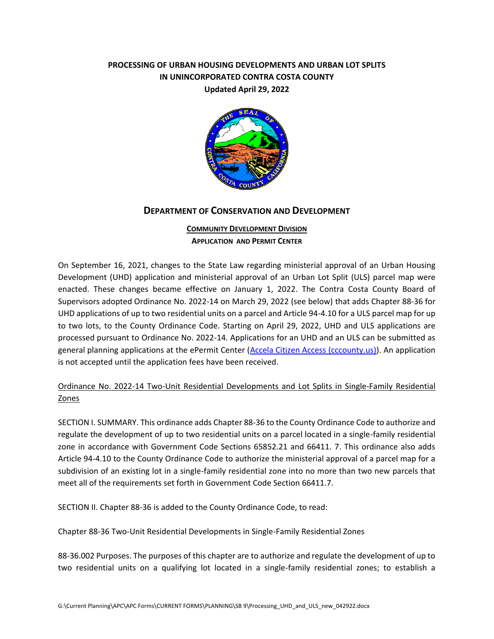## **PROCESSING OF URBAN HOUSING DEVELOPMENTS AND URBAN LOT SPLITS IN UNINCORPORATED CONTRA COSTA COUNTY Updated April 29, 2022**



#### **DEPARTMENT OF CONSERVATION AND DEVELOPMENT**

### **COMMUNITY DEVELOPMENT DIVISION APPLICATION AND PERMIT CENTER**

On September 16, 2021, changes to the State Law regarding ministerial approval of an Urban Housing Development (UHD) application and ministerial approval of an Urban Lot Split (ULS) parcel map were enacted. These changes became effective on January 1, 2022. The Contra Costa County Board of Supervisors adopted Ordinance No. 2022-14 on March 29, 2022 (see below) that adds Chapter 88-36 for UHD applications of up to two residential units on a parcel and Article 94-4.10 for a ULS parcel map for up to two lots, to the County Ordinance Code. Starting on April 29, 2022, UHD and ULS applications are processed pursuant to Ordinance No. 2022-14. Applications for an UHD and an ULS can be submitted as general planning applications at the ePermit Center [\(Accela Citizen Access \(cccounty.us\)\)](https://epermits.cccounty.us/CitizenAccess/Default.aspx). An application is not accepted until the application fees have been received.

# Ordinance No. 2022-14 Two-Unit Residential Developments and Lot Splits in Single-Family Residential Zones

SECTION I. SUMMARY. This ordinance adds Chapter 88-36 to the County Ordinance Code to authorize and regulate the development of up to two residential units on a parcel located in a single-family residential zone in accordance with Government Code Sections 65852.21 and 66411. 7. This ordinance also adds Article 94-4.10 to the County Ordinance Code to authorize the ministerial approval of a parcel map for a subdivision of an existing lot in a single-family residential zone into no more than two new parcels that meet all of the requirements set forth in Government Code Section 66411.7.

SECTION II. Chapter 88-36 is added to the County Ordinance Code, to read:

Chapter 88-36 Two-Unit Residential Developments in Single-Family Residential Zones

88-36.002 Purposes. The purposes of this chapter are to authorize and regulate the development of up to two residential units on a qualifying lot located in a single-family residential zones; to establish a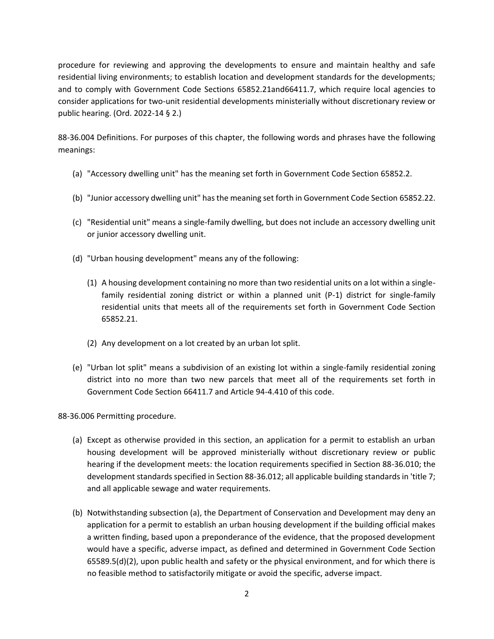procedure for reviewing and approving the developments to ensure and maintain healthy and safe residential living environments; to establish location and development standards for the developments; and to comply with Government Code Sections 65852.21and66411.7, which require local agencies to consider applications for two-unit residential developments ministerially without discretionary review or public hearing. (Ord. 2022-14 § 2.)

88-36.004 Definitions. For purposes of this chapter, the following words and phrases have the following meanings:

- (a) "Accessory dwelling unit" has the meaning set forth in Government Code Section 65852.2.
- (b) "Junior accessory dwelling unit" has the meaning set forth in Government Code Section 65852.22.
- (c) "Residential unit" means a single-family dwelling, but does not include an accessory dwelling unit or junior accessory dwelling unit.
- (d) "Urban housing development" means any of the following:
	- (1) A housing development containing no more than two residential units on a lot within a singlefamily residential zoning district or within a planned unit (P-1) district for single-family residential units that meets all of the requirements set forth in Government Code Section 65852.21.
	- (2) Any development on a lot created by an urban lot split.
- (e) "Urban lot split" means a subdivision of an existing lot within a single-family residential zoning district into no more than two new parcels that meet all of the requirements set forth in Government Code Section 66411.7 and Article 94-4.410 of this code.

88-36.006 Permitting procedure.

- (a) Except as otherwise provided in this section, an application for a permit to establish an urban housing development will be approved ministerially without discretionary review or public hearing if the development meets: the location requirements specified in Section 88-36.010; the development standards specified in Section 88-36.012; all applicable building standards in 'title 7; and all applicable sewage and water requirements.
- (b) Notwithstanding subsection (a), the Department of Conservation and Development may deny an application for a permit to establish an urban housing development if the building official makes a written finding, based upon a preponderance of the evidence, that the proposed development would have a specific, adverse impact, as defined and determined in Government Code Section 65589.5(d)(2), upon public health and safety or the physical environment, and for which there is no feasible method to satisfactorily mitigate or avoid the specific, adverse impact.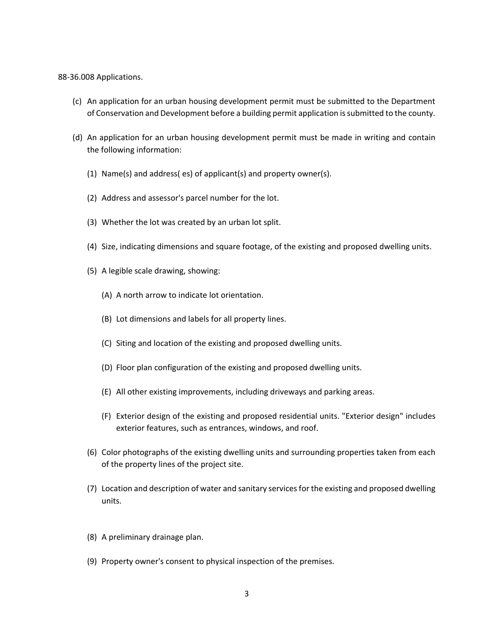#### 88-36.008 Applications.

- (c) An application for an urban housing development permit must be submitted to the Department of Conservation and Development before a building permit application is submitted to the county.
- (d) An application for an urban housing development permit must be made in writing and contain the following information:
	- (1) Name(s) and address( es) of applicant(s) and property owner(s).
	- (2) Address and assessor's parcel number for the lot.
	- (3) Whether the lot was created by an urban lot split.
	- (4) Size, indicating dimensions and square footage, of the existing and proposed dwelling units.
	- (5) A legible scale drawing, showing:
		- (A) A north arrow to indicate lot orientation.
		- (B) Lot dimensions and labels for all property lines.
		- (C) Siting and location of the existing and proposed dwelling units.
		- (D) Floor plan configuration of the existing and proposed dwelling units.
		- (E) All other existing improvements, including driveways and parking areas.
		- (F) Exterior design of the existing and proposed residential units. "Exterior design" includes exterior features, such as entrances, windows, and roof.
	- (6) Color photographs of the existing dwelling units and surrounding properties taken from each of the property lines of the project site.
	- (7) Location and description of water and sanitary services for the existing and proposed dwelling units.
	- (8) A preliminary drainage plan.
	- (9) Property owner's consent to physical inspection of the premises.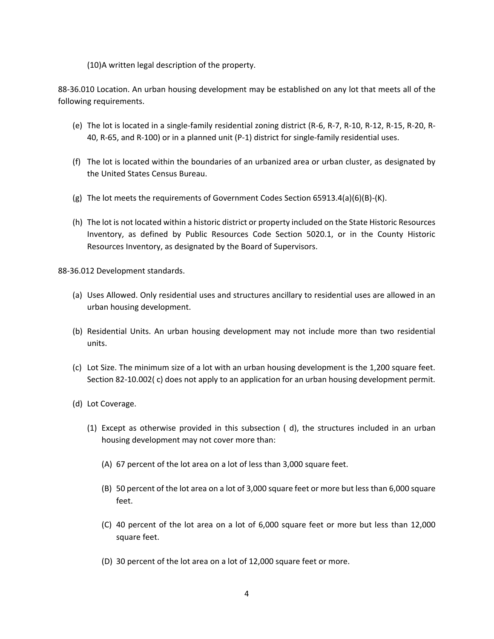(10)A written legal description of the property.

88-36.010 Location. An urban housing development may be established on any lot that meets all of the following requirements.

- (e) The lot is located in a single-family residential zoning district (R-6, R-7, R-10, R-12, R-15, R-20, R-40, R-65, and R-100) or in a planned unit (P-1) district for single-family residential uses.
- (f) The lot is located within the boundaries of an urbanized area or urban cluster, as designated by the United States Census Bureau.
- (g) The lot meets the requirements of Government Codes Section 65913.4(a)(6)(B)-(K).
- (h) The lot is not located within a historic district or property included on the State Historic Resources Inventory, as defined by Public Resources Code Section 5020.1, or in the County Historic Resources Inventory, as designated by the Board of Supervisors.

88-36.012 Development standards.

- (a) Uses Allowed. Only residential uses and structures ancillary to residential uses are allowed in an urban housing development.
- (b) Residential Units. An urban housing development may not include more than two residential units.
- (c) Lot Size. The minimum size of a lot with an urban housing development is the 1,200 square feet. Section 82-10.002( c) does not apply to an application for an urban housing development permit.
- (d) Lot Coverage.
	- (1) Except as otherwise provided in this subsection ( d), the structures included in an urban housing development may not cover more than:
		- (A) 67 percent of the lot area on a lot of less than 3,000 square feet.
		- (B) 50 percent of the lot area on a lot of 3,000 square feet or more but less than 6,000 square feet.
		- (C) 40 percent of the lot area on a lot of 6,000 square feet or more but less than 12,000 square feet.
		- (D) 30 percent of the lot area on a lot of 12,000 square feet or more.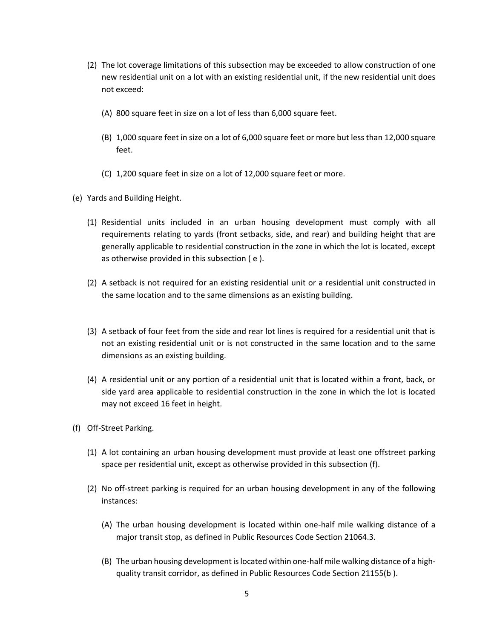- (2) The lot coverage limitations of this subsection may be exceeded to allow construction of one new residential unit on a lot with an existing residential unit, if the new residential unit does not exceed:
	- (A) 800 square feet in size on a lot of less than 6,000 square feet.
	- (B) 1,000 square feet in size on a lot of 6,000 square feet or more but less than 12,000 square feet.
	- (C) 1,200 square feet in size on a lot of 12,000 square feet or more.
- (e) Yards and Building Height.
	- (1) Residential units included in an urban housing development must comply with all requirements relating to yards (front setbacks, side, and rear) and building height that are generally applicable to residential construction in the zone in which the lot is located, except as otherwise provided in this subsection ( e ).
	- (2) A setback is not required for an existing residential unit or a residential unit constructed in the same location and to the same dimensions as an existing building.
	- (3) A setback of four feet from the side and rear lot lines is required for a residential unit that is not an existing residential unit or is not constructed in the same location and to the same dimensions as an existing building.
	- (4) A residential unit or any portion of a residential unit that is located within a front, back, or side yard area applicable to residential construction in the zone in which the lot is located may not exceed 16 feet in height.
- (f) Off-Street Parking.
	- (1) A lot containing an urban housing development must provide at least one offstreet parking space per residential unit, except as otherwise provided in this subsection (f).
	- (2) No off-street parking is required for an urban housing development in any of the following instances:
		- (A) The urban housing development is located within one-half mile walking distance of a major transit stop, as defined in Public Resources Code Section 21064.3.
		- (B) The urban housing development is located within one-half mile walking distance of a highquality transit corridor, as defined in Public Resources Code Section 21155(b ).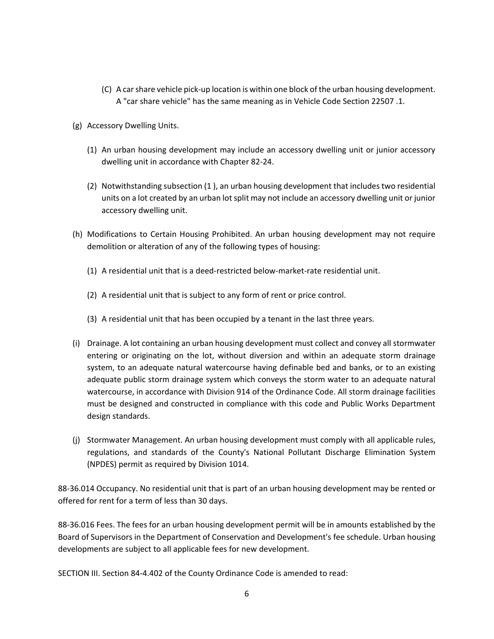- (C) A car share vehicle pick-up location is within one block of the urban housing development. A "car share vehicle" has the same meaning as in Vehicle Code Section 22507 .1.
- (g) Accessory Dwelling Units.
	- (1) An urban housing development may include an accessory dwelling unit or junior accessory dwelling unit in accordance with Chapter 82-24.
	- (2) Notwithstanding subsection (1 ), an urban housing development that includes two residential units on a lot created by an urban lot split may not include an accessory dwelling unit or junior accessory dwelling unit.
- (h) Modifications to Certain Housing Prohibited. An urban housing development may not require demolition or alteration of any of the following types of housing:
	- (1) A residential unit that is a deed-restricted below-market-rate residential unit.
	- (2) A residential unit that is subject to any form of rent or price control.
	- (3) A residential unit that has been occupied by a tenant in the last three years.
- (i) Drainage. A lot containing an urban housing development must collect and convey all stormwater entering or originating on the lot, without diversion and within an adequate storm drainage system, to an adequate natural watercourse having definable bed and banks, or to an existing adequate public storm drainage system which conveys the storm water to an adequate natural watercourse, in accordance with Division 914 of the Ordinance Code. All storm drainage facilities must be designed and constructed in compliance with this code and Public Works Department design standards.
- (j) Stormwater Management. An urban housing development must comply with all applicable rules, regulations, and standards of the County's National Pollutant Discharge Elimination System (NPDES) permit as required by Division 1014.

88-36.014 Occupancy. No residential unit that is part of an urban housing development may be rented or offered for rent for a term of less than 30 days.

88-36.016 Fees. The fees for an urban housing development permit will be in amounts established by the Board of Supervisors in the Department of Conservation and Development's fee schedule. Urban housing developments are subject to all applicable fees for new development.

SECTION III. Section 84-4.402 of the County Ordinance Code is amended to read: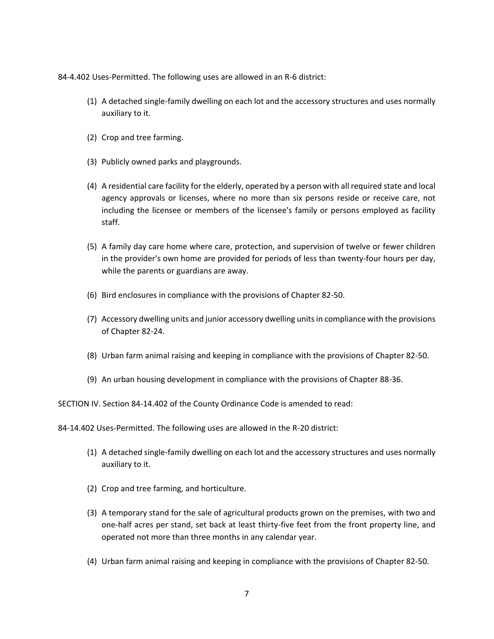84-4.402 Uses-Permitted. The following uses are allowed in an R-6 district:

- (1) A detached single-family dwelling on each lot and the accessory structures and uses normally auxiliary to it.
- (2) Crop and tree farming.
- (3) Publicly owned parks and playgrounds.
- (4) A residential care facility for the elderly, operated by a person with all required state and local agency approvals or licenses, where no more than six persons reside or receive care, not including the licensee or members of the licensee's family or persons employed as facility staff.
- (5) A family day care home where care, protection, and supervision of twelve or fewer children in the provider's own home are provided for periods of less than twenty-four hours per day, while the parents or guardians are away.
- (6) Bird enclosures in compliance with the provisions of Chapter 82-50.
- (7) Accessory dwelling units and junior accessory dwelling units in compliance with the provisions of Chapter 82-24.
- (8) Urban farm animal raising and keeping in compliance with the provisions of Chapter 82-50.
- (9) An urban housing development in compliance with the provisions of Chapter 88-36.

SECTION IV. Section 84-14.402 of the County Ordinance Code is amended to read:

84-14.402 Uses-Permitted. The following uses are allowed in the R-20 district:

- (1) A detached single-family dwelling on each lot and the accessory structures and uses normally auxiliary to it.
- (2) Crop and tree farming, and horticulture.
- (3) A temporary stand for the sale of agricultural products grown on the premises, with two and one-half acres per stand, set back at least thirty-five feet from the front property line, and operated not more than three months in any calendar year.
- (4) Urban farm animal raising and keeping in compliance with the provisions of Chapter 82-50.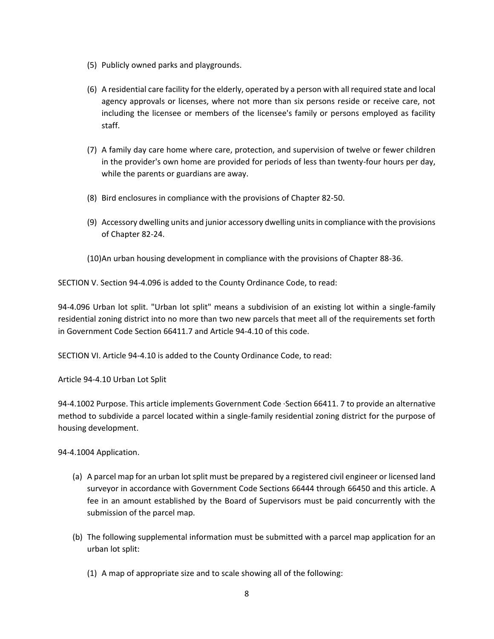- (5) Publicly owned parks and playgrounds.
- (6) A residential care facility for the elderly, operated by a person with all required state and local agency approvals or licenses, where not more than six persons reside or receive care, not including the licensee or members of the licensee's family or persons employed as facility staff.
- (7) A family day care home where care, protection, and supervision of twelve or fewer children in the provider's own home are provided for periods of less than twenty-four hours per day, while the parents or guardians are away.
- (8) Bird enclosures in compliance with the provisions of Chapter 82-50.
- (9) Accessory dwelling units and junior accessory dwelling units in compliance with the provisions of Chapter 82-24.
- (10)An urban housing development in compliance with the provisions of Chapter 88-36.

SECTION V. Section 94-4.096 is added to the County Ordinance Code, to read:

94-4.096 Urban lot split. "Urban lot split" means a subdivision of an existing lot within a single-family residential zoning district into no more than two new parcels that meet all of the requirements set forth in Government Code Section 66411.7 and Article 94-4.10 of this code.

SECTION VI. Article 94-4.10 is added to the County Ordinance Code, to read:

Article 94-4.10 Urban Lot Split

94-4.1002 Purpose. This article implements Government Code ·Section 66411. 7 to provide an alternative method to subdivide a parcel located within a single-family residential zoning district for the purpose of housing development.

94-4.1004 Application.

- (a) A parcel map for an urban lot split must be prepared by a registered civil engineer or licensed land surveyor in accordance with Government Code Sections 66444 through 66450 and this article. A fee in an amount established by the Board of Supervisors must be paid concurrently with the submission of the parcel map.
- (b) The following supplemental information must be submitted with a parcel map application for an urban lot split:
	- (1) A map of appropriate size and to scale showing all of the following: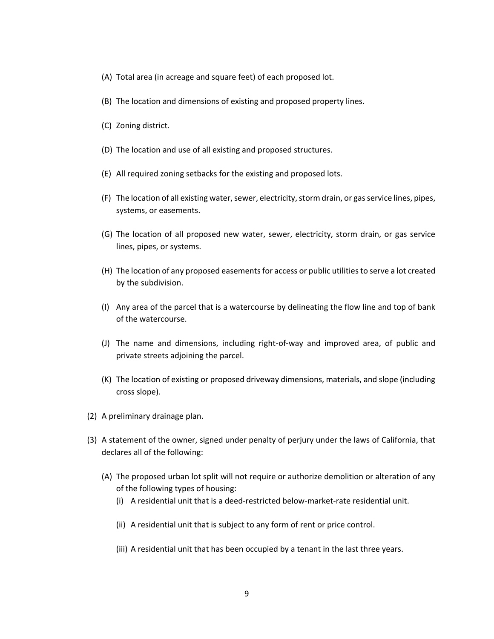- (A) Total area (in acreage and square feet) of each proposed lot.
- (B) The location and dimensions of existing and proposed property lines.
- (C) Zoning district.
- (D) The location and use of all existing and proposed structures.
- (E) All required zoning setbacks for the existing and proposed lots.
- (F) The location of all existing water, sewer, electricity, storm drain, or gas service lines, pipes, systems, or easements.
- (G) The location of all proposed new water, sewer, electricity, storm drain, or gas service lines, pipes, or systems.
- (H) The location of any proposed easements for access or public utilities to serve a lot created by the subdivision.
- (I) Any area of the parcel that is a watercourse by delineating the flow line and top of bank of the watercourse.
- (J) The name and dimensions, including right-of-way and improved area, of public and private streets adjoining the parcel.
- (K) The location of existing or proposed driveway dimensions, materials, and slope (including cross slope).
- (2) A preliminary drainage plan.
- (3) A statement of the owner, signed under penalty of perjury under the laws of California, that declares all of the following:
	- (A) The proposed urban lot split will not require or authorize demolition or alteration of any of the following types of housing:
		- (i) A residential unit that is a deed-restricted below-market-rate residential unit.
		- (ii) A residential unit that is subject to any form of rent or price control.
		- (iii) A residential unit that has been occupied by a tenant in the last three years.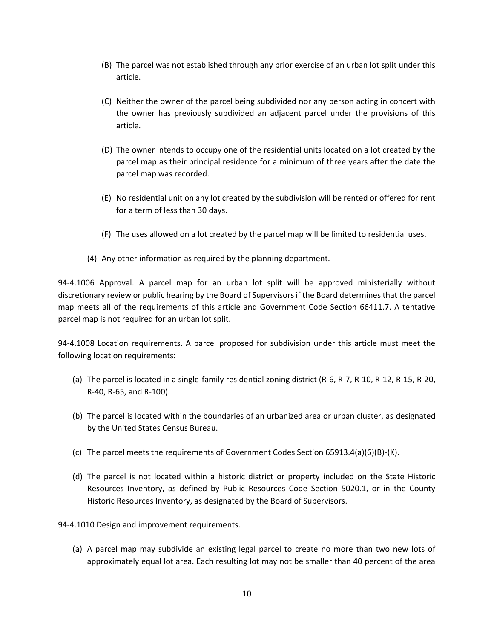- (B) The parcel was not established through any prior exercise of an urban lot split under this article.
- (C) Neither the owner of the parcel being subdivided nor any person acting in concert with the owner has previously subdivided an adjacent parcel under the provisions of this article.
- (D) The owner intends to occupy one of the residential units located on a lot created by the parcel map as their principal residence for a minimum of three years after the date the parcel map was recorded.
- (E) No residential unit on any lot created by the subdivision will be rented or offered for rent for a term of less than 30 days.
- (F) The uses allowed on a lot created by the parcel map will be limited to residential uses.
- (4) Any other information as required by the planning department.

94-4.1006 Approval. A parcel map for an urban lot split will be approved ministerially without discretionary review or public hearing by the Board of Supervisors if the Board determines that the parcel map meets all of the requirements of this article and Government Code Section 66411.7. A tentative parcel map is not required for an urban lot split.

94-4.1008 Location requirements. A parcel proposed for subdivision under this article must meet the following location requirements:

- (a) The parcel is located in a single-family residential zoning district (R-6, R-7, R-10, R-12, R-15, R-20, R-40, R-65, and R-100).
- (b) The parcel is located within the boundaries of an urbanized area or urban cluster, as designated by the United States Census Bureau.
- (c) The parcel meets the requirements of Government Codes Section 65913.4(a)(6)(B)-(K).
- (d) The parcel is not located within a historic district or property included on the State Historic Resources Inventory, as defined by Public Resources Code Section 5020.1, or in the County Historic Resources Inventory, as designated by the Board of Supervisors.

94-4.1010 Design and improvement requirements.

(a) A parcel map may subdivide an existing legal parcel to create no more than two new lots of approximately equal lot area. Each resulting lot may not be smaller than 40 percent of the area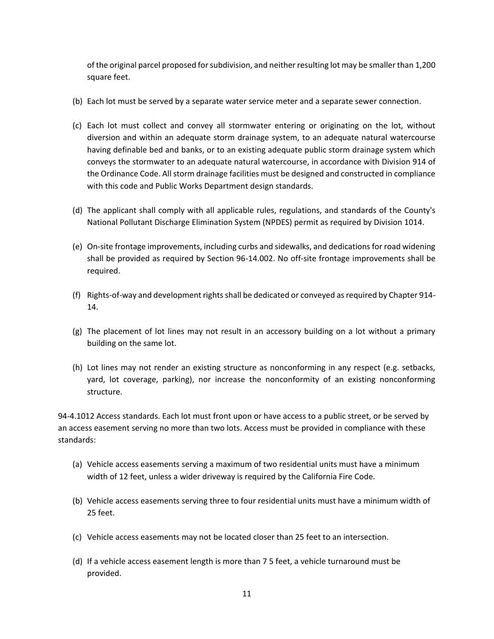of the original parcel proposed for subdivision, and neither resulting lot may be smaller than 1,200 square feet.

- (b) Each lot must be served by a separate water service meter and a separate sewer connection.
- (c) Each lot must collect and convey all stormwater entering or originating on the lot, without diversion and within an adequate storm drainage system, to an adequate natural watercourse having definable bed and banks, or to an existing adequate public storm drainage system which conveys the stormwater to an adequate natural watercourse, in accordance with Division 914 of the Ordinance Code. All storm drainage facilities must be designed and constructed in compliance with this code and Public Works Department design standards.
- (d) The applicant shall comply with all applicable rules, regulations, and standards of the County's National Pollutant Discharge Elimination System (NPDES) permit as required by Division 1014.
- (e) On-site frontage improvements, including curbs and sidewalks, and dedications for road widening shall be provided as required by Section 96-14.002. No off-site frontage improvements shall be required.
- (f) Rights-of-way and development rights shall be dedicated or conveyed as required by Chapter 914- 14.
- (g) The placement of lot lines may not result in an accessory building on a lot without a primary building on the same lot.
- (h) Lot lines may not render an existing structure as nonconforming in any respect (e.g. setbacks, yard, lot coverage, parking), nor increase the nonconformity of an existing nonconforming structure.

94-4.1012 Access standards. Each lot must front upon or have access to a public street, or be served by an access easement serving no more than two lots. Access must be provided in compliance with these standards:

- (a) Vehicle access easements serving a maximum of two residential units must have a minimum width of 12 feet, unless a wider driveway is required by the California Fire Code.
- (b) Vehicle access easements serving three to four residential units must have a minimum width of 25 feet.
- (c) Vehicle access easements may not be located closer than 25 feet to an intersection.
- (d) If a vehicle access easement length is more than 7 5 feet, a vehicle turnaround must be provided.